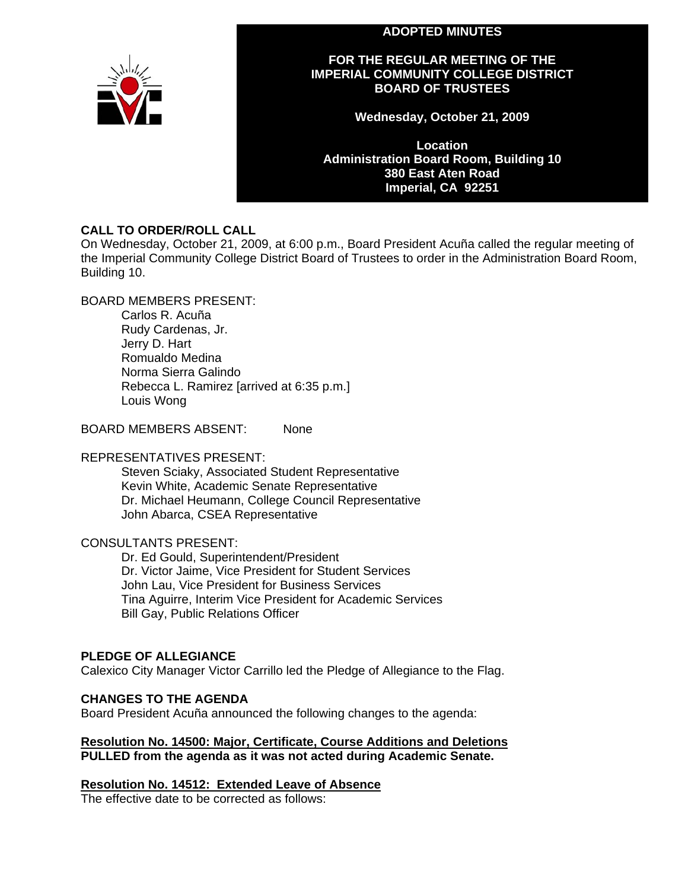#### **ADOPTED MINUTES**



## **FOR THE REGULAR MEETING OF THE IMPERIAL COMMUNITY COLLEGE DISTRICT BOARD OF TRUSTEES**

**Wednesday, October 21, 2009** 

**Location Administration Board Room, Building 10 380 East Aten Road Imperial, CA 92251** 

## **CALL TO ORDER/ROLL CALL**

On Wednesday, October 21, 2009, at 6:00 p.m., Board President Acuña called the regular meeting of the Imperial Community College District Board of Trustees to order in the Administration Board Room, Building 10.

## BOARD MEMBERS PRESENT:

Carlos R. Acuña Rudy Cardenas, Jr. Jerry D. Hart Romualdo Medina Norma Sierra Galindo Rebecca L. Ramirez [arrived at 6:35 p.m.] Louis Wong

BOARD MEMBERS ABSENT: None

## REPRESENTATIVES PRESENT:

Steven Sciaky, Associated Student Representative Kevin White, Academic Senate Representative Dr. Michael Heumann, College Council Representative John Abarca, CSEA Representative

## CONSULTANTS PRESENT:

Dr. Ed Gould, Superintendent/President Dr. Victor Jaime, Vice President for Student Services John Lau, Vice President for Business Services Tina Aguirre, Interim Vice President for Academic Services Bill Gay, Public Relations Officer

## **PLEDGE OF ALLEGIANCE**

Calexico City Manager Victor Carrillo led the Pledge of Allegiance to the Flag.

## **CHANGES TO THE AGENDA**

Board President Acuña announced the following changes to the agenda:

#### **Resolution No. 14500: Major, Certificate, Course Additions and Deletions PULLED from the agenda as it was not acted during Academic Senate.**

## **Resolution No. 14512: Extended Leave of Absence**

The effective date to be corrected as follows: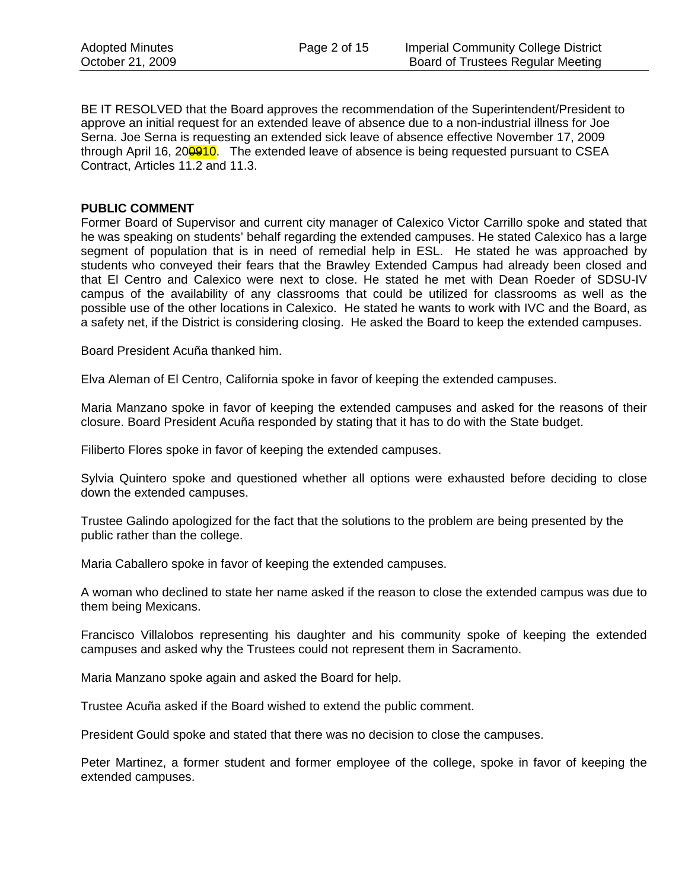BE IT RESOLVED that the Board approves the recommendation of the Superintendent/President to approve an initial request for an extended leave of absence due to a non-industrial illness for Joe Serna. Joe Serna is requesting an extended sick leave of absence effective November 17, 2009 through April 16, 200910. The extended leave of absence is being requested pursuant to CSEA Contract, Articles 11.2 and 11.3.

#### **PUBLIC COMMENT**

Former Board of Supervisor and current city manager of Calexico Victor Carrillo spoke and stated that he was speaking on students' behalf regarding the extended campuses. He stated Calexico has a large segment of population that is in need of remedial help in ESL. He stated he was approached by students who conveyed their fears that the Brawley Extended Campus had already been closed and that El Centro and Calexico were next to close. He stated he met with Dean Roeder of SDSU-IV campus of the availability of any classrooms that could be utilized for classrooms as well as the possible use of the other locations in Calexico. He stated he wants to work with IVC and the Board, as a safety net, if the District is considering closing. He asked the Board to keep the extended campuses.

Board President Acuña thanked him.

Elva Aleman of El Centro, California spoke in favor of keeping the extended campuses.

Maria Manzano spoke in favor of keeping the extended campuses and asked for the reasons of their closure. Board President Acuña responded by stating that it has to do with the State budget.

Filiberto Flores spoke in favor of keeping the extended campuses.

Sylvia Quintero spoke and questioned whether all options were exhausted before deciding to close down the extended campuses.

Trustee Galindo apologized for the fact that the solutions to the problem are being presented by the public rather than the college.

Maria Caballero spoke in favor of keeping the extended campuses.

A woman who declined to state her name asked if the reason to close the extended campus was due to them being Mexicans.

Francisco Villalobos representing his daughter and his community spoke of keeping the extended campuses and asked why the Trustees could not represent them in Sacramento.

Maria Manzano spoke again and asked the Board for help.

Trustee Acuña asked if the Board wished to extend the public comment.

President Gould spoke and stated that there was no decision to close the campuses.

Peter Martinez, a former student and former employee of the college, spoke in favor of keeping the extended campuses.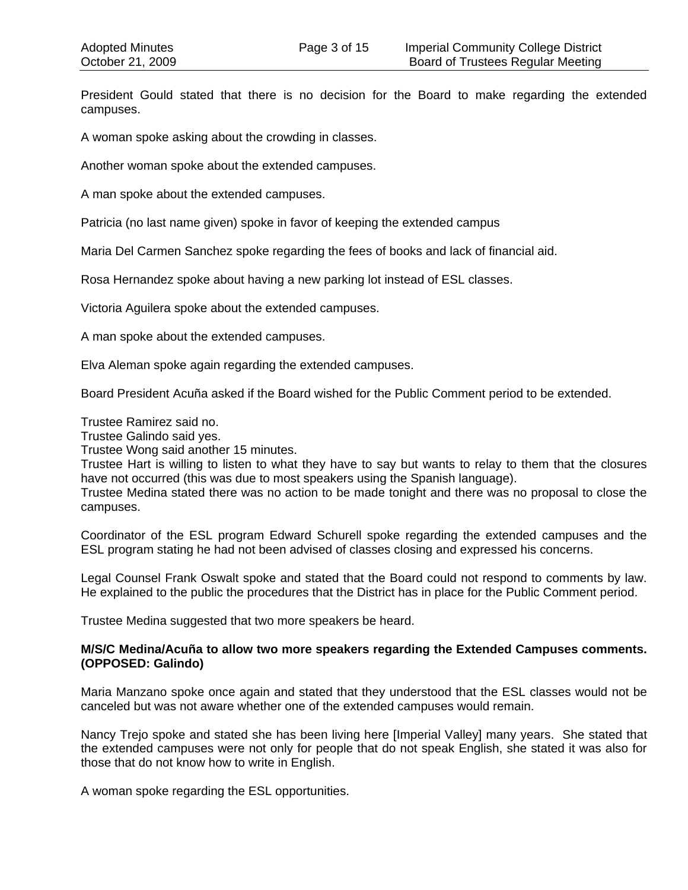President Gould stated that there is no decision for the Board to make regarding the extended campuses.

A woman spoke asking about the crowding in classes.

Another woman spoke about the extended campuses.

A man spoke about the extended campuses.

Patricia (no last name given) spoke in favor of keeping the extended campus

Maria Del Carmen Sanchez spoke regarding the fees of books and lack of financial aid.

Rosa Hernandez spoke about having a new parking lot instead of ESL classes.

Victoria Aguilera spoke about the extended campuses.

A man spoke about the extended campuses.

Elva Aleman spoke again regarding the extended campuses.

Board President Acuña asked if the Board wished for the Public Comment period to be extended.

Trustee Ramirez said no.

Trustee Galindo said yes.

Trustee Wong said another 15 minutes.

Trustee Hart is willing to listen to what they have to say but wants to relay to them that the closures have not occurred (this was due to most speakers using the Spanish language).

Trustee Medina stated there was no action to be made tonight and there was no proposal to close the campuses.

Coordinator of the ESL program Edward Schurell spoke regarding the extended campuses and the ESL program stating he had not been advised of classes closing and expressed his concerns.

Legal Counsel Frank Oswalt spoke and stated that the Board could not respond to comments by law. He explained to the public the procedures that the District has in place for the Public Comment period.

Trustee Medina suggested that two more speakers be heard.

#### **M/S/C Medina/Acuña to allow two more speakers regarding the Extended Campuses comments. (OPPOSED: Galindo)**

Maria Manzano spoke once again and stated that they understood that the ESL classes would not be canceled but was not aware whether one of the extended campuses would remain.

Nancy Trejo spoke and stated she has been living here [Imperial Valley] many years. She stated that the extended campuses were not only for people that do not speak English, she stated it was also for those that do not know how to write in English.

A woman spoke regarding the ESL opportunities.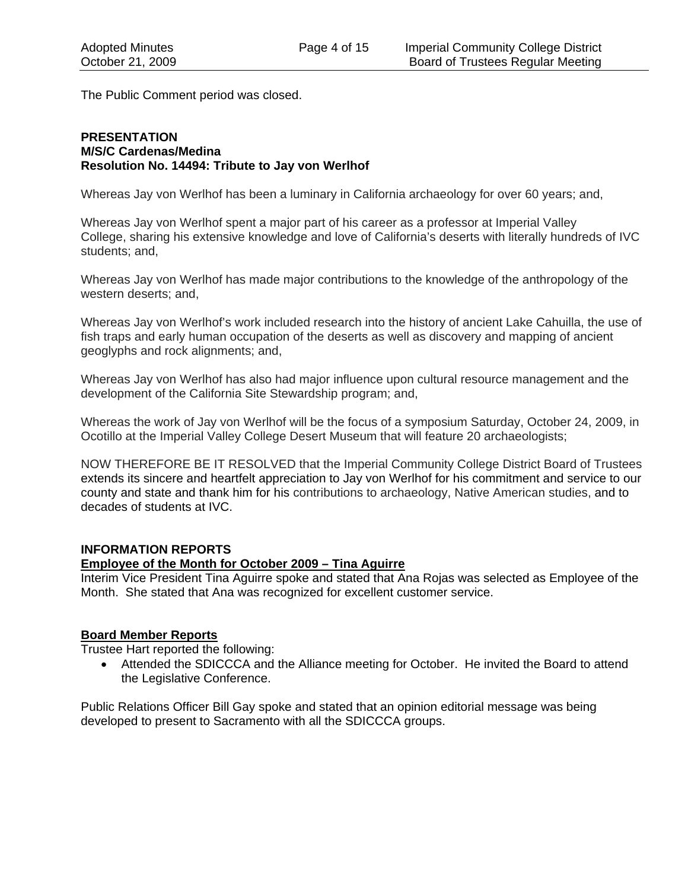The Public Comment period was closed.

#### **PRESENTATION M/S/C Cardenas/Medina Resolution No. 14494: Tribute to Jay von Werlhof**

Whereas Jay von Werlhof has been a luminary in California archaeology for over 60 years; and,

Whereas Jay von Werlhof spent a major part of his career as a professor at Imperial Valley College, sharing his extensive knowledge and love of California's deserts with literally hundreds of IVC students; and,

Whereas Jay von Werlhof has made major contributions to the knowledge of the anthropology of the western deserts; and,

Whereas Jay von Werlhof's work included research into the history of ancient Lake Cahuilla, the use of fish traps and early human occupation of the deserts as well as discovery and mapping of ancient geoglyphs and rock alignments; and,

Whereas Jay von Werlhof has also had major influence upon cultural resource management and the development of the California Site Stewardship program; and,

Whereas the work of Jay von Werlhof will be the focus of a symposium Saturday, October 24, 2009, in Ocotillo at the Imperial Valley College Desert Museum that will feature 20 archaeologists;

NOW THEREFORE BE IT RESOLVED that the Imperial Community College District Board of Trustees extends its sincere and heartfelt appreciation to Jay von Werlhof for his commitment and service to our county and state and thank him for his contributions to archaeology, Native American studies, and to decades of students at IVC.

## **INFORMATION REPORTS**

## **Employee of the Month for October 2009 – Tina Aguirre**

Interim Vice President Tina Aguirre spoke and stated that Ana Rojas was selected as Employee of the Month. She stated that Ana was recognized for excellent customer service.

## **Board Member Reports**

Trustee Hart reported the following:

• Attended the SDICCCA and the Alliance meeting for October. He invited the Board to attend the Legislative Conference.

Public Relations Officer Bill Gay spoke and stated that an opinion editorial message was being developed to present to Sacramento with all the SDICCCA groups.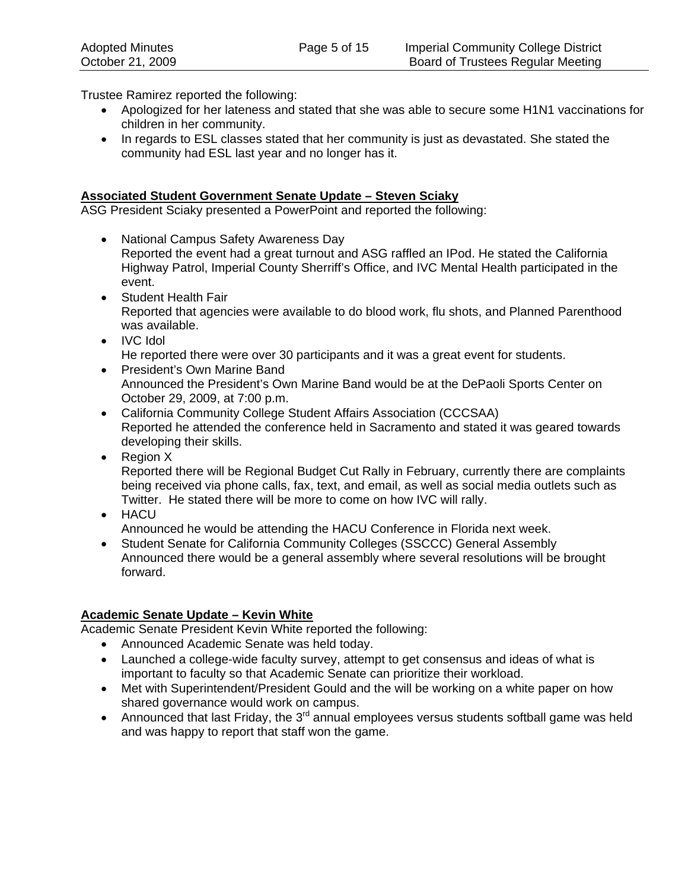Trustee Ramirez reported the following:

- Apologized for her lateness and stated that she was able to secure some H1N1 vaccinations for children in her community.
- In regards to ESL classes stated that her community is just as devastated. She stated the community had ESL last year and no longer has it.

## **Associated Student Government Senate Update – Steven Sciaky**

ASG President Sciaky presented a PowerPoint and reported the following:

- National Campus Safety Awareness Day Reported the event had a great turnout and ASG raffled an IPod. He stated the California Highway Patrol, Imperial County Sherriff's Office, and IVC Mental Health participated in the event.
- Student Health Fair Reported that agencies were available to do blood work, flu shots, and Planned Parenthood was available.
- IVC Idol He reported there were over 30 participants and it was a great event for students.
- President's Own Marine Band Announced the President's Own Marine Band would be at the DePaoli Sports Center on October 29, 2009, at 7:00 p.m.
- California Community College Student Affairs Association (CCCSAA) Reported he attended the conference held in Sacramento and stated it was geared towards developing their skills.
- Region X Reported there will be Regional Budget Cut Rally in February, currently there are complaints being received via phone calls, fax, text, and email, as well as social media outlets such as Twitter. He stated there will be more to come on how IVC will rally.
- HACU Announced he would be attending the HACU Conference in Florida next week.
- Student Senate for California Community Colleges (SSCCC) General Assembly Announced there would be a general assembly where several resolutions will be brought forward.

## **Academic Senate Update – Kevin White**

Academic Senate President Kevin White reported the following:

- Announced Academic Senate was held today.
- Launched a college-wide faculty survey, attempt to get consensus and ideas of what is important to faculty so that Academic Senate can prioritize their workload.
- Met with Superintendent/President Gould and the will be working on a white paper on how shared governance would work on campus.
- Announced that last Friday, the  $3^{rd}$  annual employees versus students softball game was held and was happy to report that staff won the game.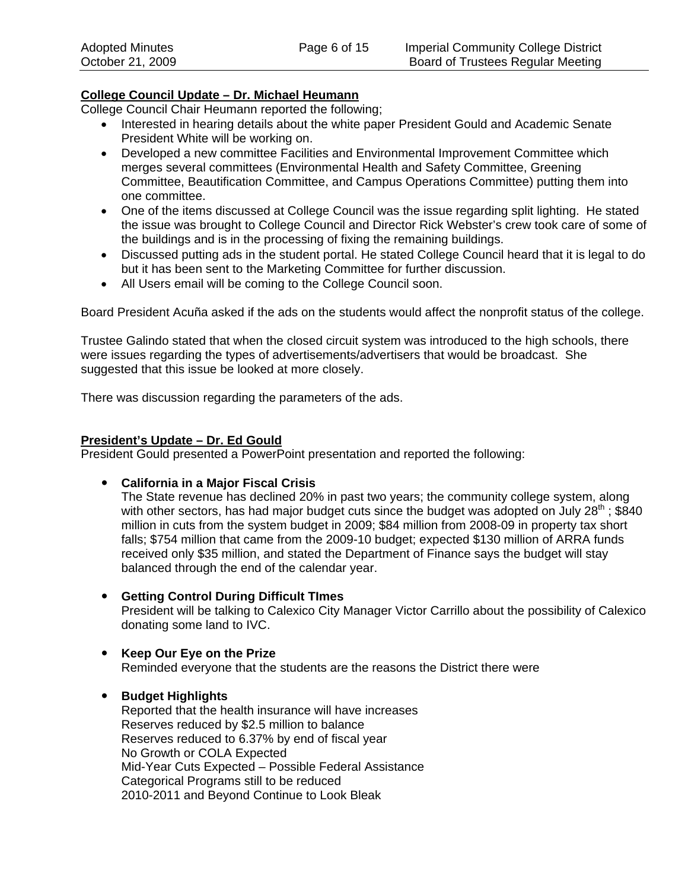## **College Council Update – Dr. Michael Heumann**

College Council Chair Heumann reported the following;

- Interested in hearing details about the white paper President Gould and Academic Senate President White will be working on.
- Developed a new committee Facilities and Environmental Improvement Committee which merges several committees (Environmental Health and Safety Committee, Greening Committee, Beautification Committee, and Campus Operations Committee) putting them into one committee.
- One of the items discussed at College Council was the issue regarding split lighting. He stated the issue was brought to College Council and Director Rick Webster's crew took care of some of the buildings and is in the processing of fixing the remaining buildings.
- Discussed putting ads in the student portal. He stated College Council heard that it is legal to do but it has been sent to the Marketing Committee for further discussion.
- All Users email will be coming to the College Council soon.

Board President Acuña asked if the ads on the students would affect the nonprofit status of the college.

Trustee Galindo stated that when the closed circuit system was introduced to the high schools, there were issues regarding the types of advertisements/advertisers that would be broadcast. She suggested that this issue be looked at more closely.

There was discussion regarding the parameters of the ads.

## **President's Update – Dr. Ed Gould**

President Gould presented a PowerPoint presentation and reported the following:

y **California in a Major Fiscal Crisis** 

The State revenue has declined 20% in past two years; the community college system, along with other sectors, has had major budget cuts since the budget was adopted on July  $28<sup>th</sup>$ ; \$840 million in cuts from the system budget in 2009; \$84 million from 2008-09 in property tax short falls; \$754 million that came from the 2009-10 budget; expected \$130 million of ARRA funds received only \$35 million, and stated the Department of Finance says the budget will stay balanced through the end of the calendar year.

y **Getting Control During Difficult TImes** 

President will be talking to Calexico City Manager Victor Carrillo about the possibility of Calexico donating some land to IVC.

• Keep Our Eye on the Prize Reminded everyone that the students are the reasons the District there were

## y **Budget Highlights**

Reported that the health insurance will have increases Reserves reduced by \$2.5 million to balance Reserves reduced to 6.37% by end of fiscal year No Growth or COLA Expected Mid-Year Cuts Expected – Possible Federal Assistance Categorical Programs still to be reduced 2010-2011 and Beyond Continue to Look Bleak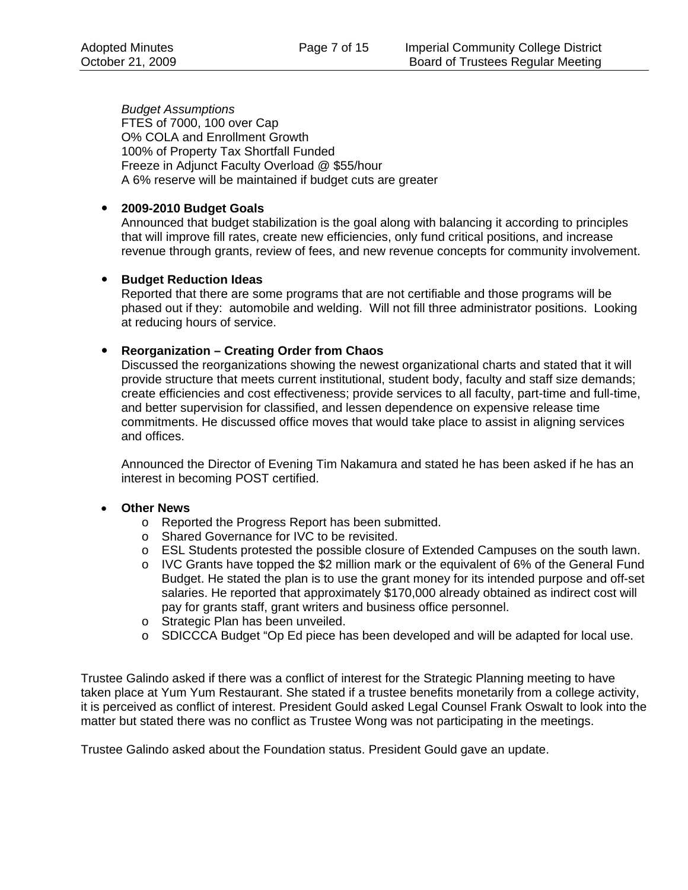*Budget Assumptions*  FTES of 7000, 100 over Cap O% COLA and Enrollment Growth 100% of Property Tax Shortfall Funded Freeze in Adjunct Faculty Overload @ \$55/hour A 6% reserve will be maintained if budget cuts are greater

#### y **2009-2010 Budget Goals**

Announced that budget stabilization is the goal along with balancing it according to principles that will improve fill rates, create new efficiencies, only fund critical positions, and increase revenue through grants, review of fees, and new revenue concepts for community involvement.

#### **• Budget Reduction Ideas**

Reported that there are some programs that are not certifiable and those programs will be phased out if they: automobile and welding. Will not fill three administrator positions. Looking at reducing hours of service.

#### y **Reorganization – Creating Order from Chaos**

 Discussed the reorganizations showing the newest organizational charts and stated that it will provide structure that meets current institutional, student body, faculty and staff size demands; create efficiencies and cost effectiveness; provide services to all faculty, part-time and full-time, and better supervision for classified, and lessen dependence on expensive release time commitments. He discussed office moves that would take place to assist in aligning services and offices.

 Announced the Director of Evening Tim Nakamura and stated he has been asked if he has an interest in becoming POST certified.

#### • **Other News**

- o Reported the Progress Report has been submitted.
- o Shared Governance for IVC to be revisited.
- o ESL Students protested the possible closure of Extended Campuses on the south lawn.
- $\circ$  IVC Grants have topped the \$2 million mark or the equivalent of 6% of the General Fund Budget. He stated the plan is to use the grant money for its intended purpose and off-set salaries. He reported that approximately \$170,000 already obtained as indirect cost will pay for grants staff, grant writers and business office personnel.
- o Strategic Plan has been unveiled.
- o SDICCCA Budget "Op Ed piece has been developed and will be adapted for local use.

Trustee Galindo asked if there was a conflict of interest for the Strategic Planning meeting to have taken place at Yum Yum Restaurant. She stated if a trustee benefits monetarily from a college activity, it is perceived as conflict of interest. President Gould asked Legal Counsel Frank Oswalt to look into the matter but stated there was no conflict as Trustee Wong was not participating in the meetings.

Trustee Galindo asked about the Foundation status. President Gould gave an update.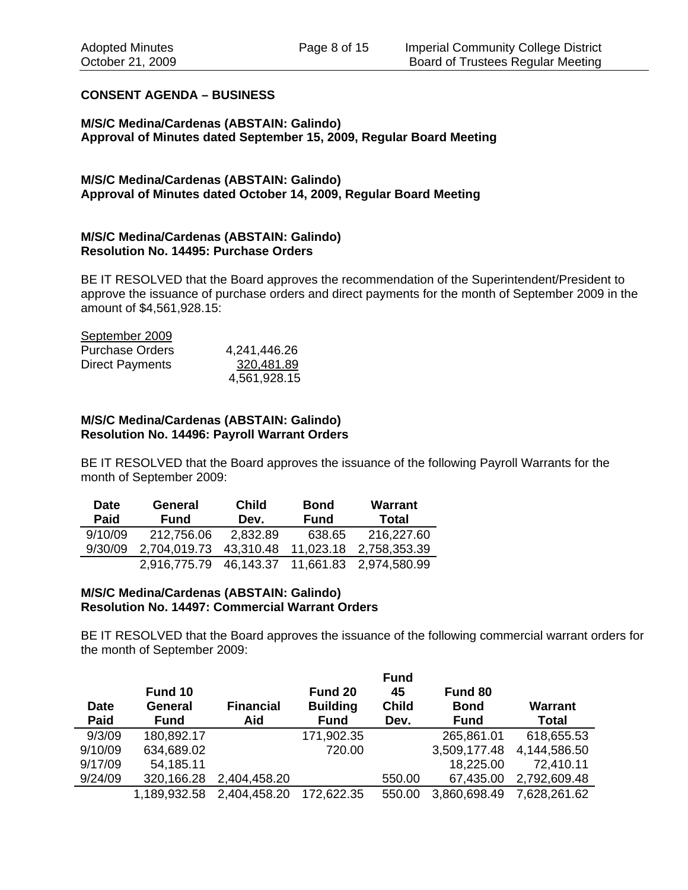#### **CONSENT AGENDA – BUSINESS**

#### **M/S/C Medina/Cardenas (ABSTAIN: Galindo) Approval of Minutes dated September 15, 2009, Regular Board Meeting**

#### **M/S/C Medina/Cardenas (ABSTAIN: Galindo) Approval of Minutes dated October 14, 2009, Regular Board Meeting**

#### **M/S/C Medina/Cardenas (ABSTAIN: Galindo) Resolution No. 14495: Purchase Orders**

BE IT RESOLVED that the Board approves the recommendation of the Superintendent/President to approve the issuance of purchase orders and direct payments for the month of September 2009 in the amount of \$4,561,928.15:

# September 2009

| <b>Purchase Orders</b> | 4,241,446.26 |
|------------------------|--------------|
| Direct Payments        | 320,481.89   |
|                        | 4,561,928.15 |

#### **M/S/C Medina/Cardenas (ABSTAIN: Galindo) Resolution No. 14496: Payroll Warrant Orders**

BE IT RESOLVED that the Board approves the issuance of the following Payroll Warrants for the month of September 2009:

| <b>Date</b> | <b>General</b> | <b>Child</b> | <b>Bond</b> | <b>Warrant</b>                   |
|-------------|----------------|--------------|-------------|----------------------------------|
| Paid        | <b>Fund</b>    | Dev.         | <b>Fund</b> | Total                            |
| 9/10/09     | 212,756.06     | 2.832.89     | 638.65      | 216,227.60                       |
| 9/30/09     | 2,704,019.73   | 43,310.48    | 11,023.18   | 2,758,353.39                     |
|             | 2,916,775.79   |              |             | 46,143.37 11,661.83 2,974,580.99 |

#### **M/S/C Medina/Cardenas (ABSTAIN: Galindo) Resolution No. 14497: Commercial Warrant Orders**

BE IT RESOLVED that the Board approves the issuance of the following commercial warrant orders for the month of September 2009:

|             |              |                  |                 | <b>Fund</b>  |              |                |
|-------------|--------------|------------------|-----------------|--------------|--------------|----------------|
|             | Fund 10      |                  | Fund 20         | 45           | Fund 80      |                |
| <b>Date</b> | General      | <b>Financial</b> | <b>Building</b> | <b>Child</b> | <b>Bond</b>  | <b>Warrant</b> |
| Paid        | <b>Fund</b>  | Aid              | <b>Fund</b>     | Dev.         | <b>Fund</b>  | <b>Total</b>   |
| 9/3/09      | 180,892.17   |                  | 171,902.35      |              | 265,861.01   | 618,655.53     |
| 9/10/09     | 634,689.02   |                  | 720.00          |              | 3,509,177.48 | 4,144,586.50   |
| 9/17/09     | 54,185.11    |                  |                 |              | 18,225.00    | 72,410.11      |
| 9/24/09     | 320,166.28   | 2,404,458.20     |                 | 550.00       | 67,435.00    | 2,792,609.48   |
|             | 1,189,932.58 | 2,404,458.20     | 172,622.35      | 550.00       | 3,860,698.49 | 7,628,261.62   |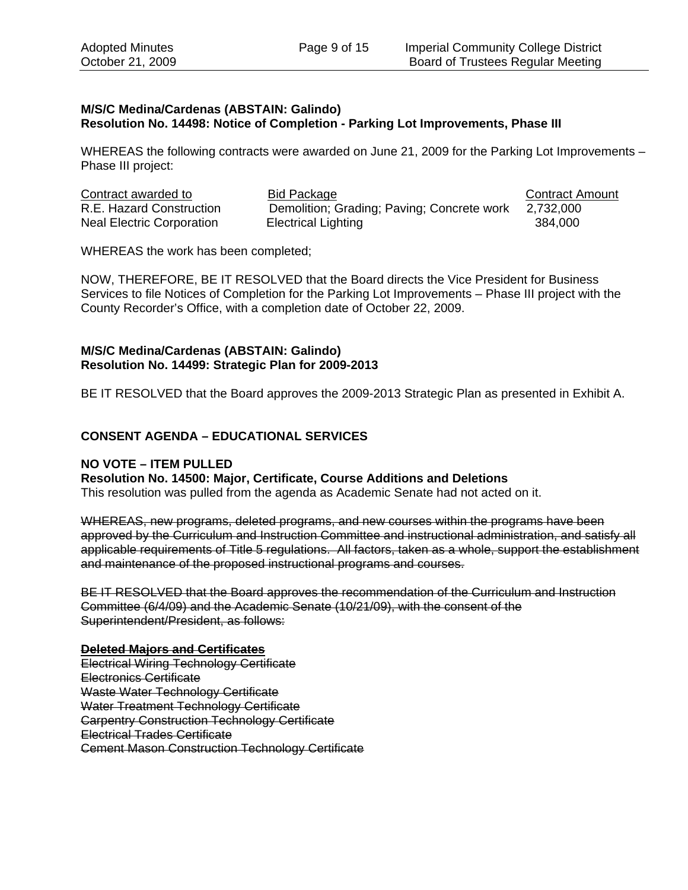#### **M/S/C Medina/Cardenas (ABSTAIN: Galindo) Resolution No. 14498: Notice of Completion - Parking Lot Improvements, Phase III**

WHEREAS the following contracts were awarded on June 21, 2009 for the Parking Lot Improvements – Phase III project:

| Contract awarded to              | Bid Package                                | <b>Contract Amount</b> |
|----------------------------------|--------------------------------------------|------------------------|
| R.E. Hazard Construction         | Demolition; Grading; Paving; Concrete work | 2,732,000              |
| <b>Neal Electric Corporation</b> | Electrical Lighting                        | 384,000                |

WHEREAS the work has been completed;

NOW, THEREFORE, BE IT RESOLVED that the Board directs the Vice President for Business Services to file Notices of Completion for the Parking Lot Improvements – Phase III project with the County Recorder's Office, with a completion date of October 22, 2009.

#### **M/S/C Medina/Cardenas (ABSTAIN: Galindo) Resolution No. 14499: Strategic Plan for 2009-2013**

BE IT RESOLVED that the Board approves the 2009-2013 Strategic Plan as presented in Exhibit A.

## **CONSENT AGENDA – EDUCATIONAL SERVICES**

#### **NO VOTE – ITEM PULLED**

#### **Resolution No. 14500: Major, Certificate, Course Additions and Deletions**

This resolution was pulled from the agenda as Academic Senate had not acted on it.

WHEREAS, new programs, deleted programs, and new courses within the programs have been approved by the Curriculum and Instruction Committee and instructional administration, and satisfy all applicable requirements of Title 5 regulations. All factors, taken as a whole, support the establishment and maintenance of the proposed instructional programs and courses.

BE IT RESOLVED that the Board approves the recommendation of the Curriculum and Instruction Committee (6/4/09) and the Academic Senate (10/21/09), with the consent of the Superintendent/President, as follows:

#### **Deleted Majors and Certificates**

Electrical Wiring Technology Certificate Electronics Certificate Waste Water Technology Certificate Water Treatment Technology Certificate Carpentry Construction Technology Certificate Electrical Trades Certificate Cement Mason Construction Technology Certificate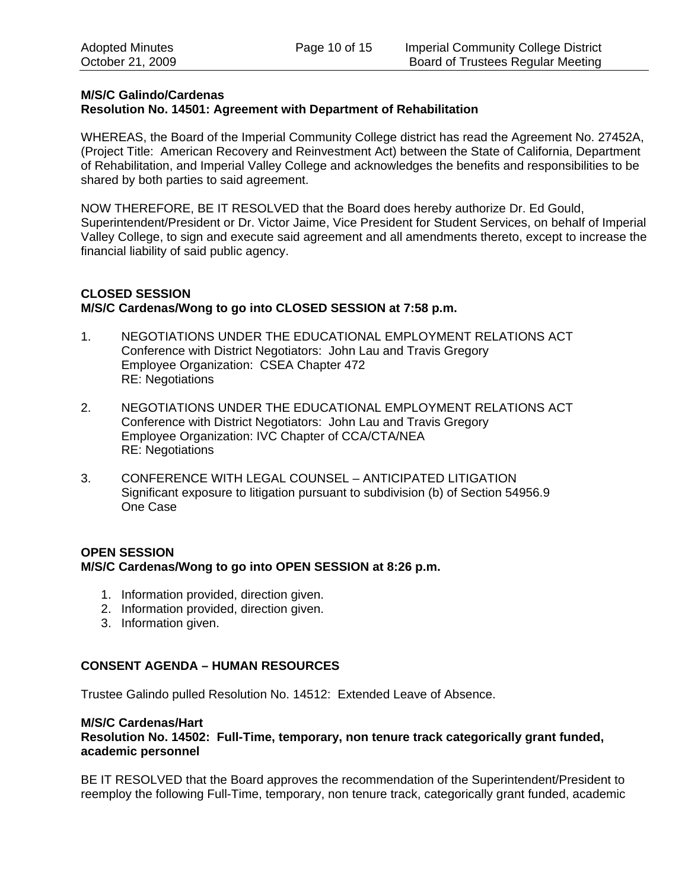#### **M/S/C Galindo/Cardenas Resolution No. 14501: Agreement with Department of Rehabilitation**

WHEREAS, the Board of the Imperial Community College district has read the Agreement No. 27452A, (Project Title: American Recovery and Reinvestment Act) between the State of California, Department of Rehabilitation, and Imperial Valley College and acknowledges the benefits and responsibilities to be shared by both parties to said agreement.

NOW THEREFORE, BE IT RESOLVED that the Board does hereby authorize Dr. Ed Gould, Superintendent/President or Dr. Victor Jaime, Vice President for Student Services, on behalf of Imperial Valley College, to sign and execute said agreement and all amendments thereto, except to increase the financial liability of said public agency.

## **CLOSED SESSION M/S/C Cardenas/Wong to go into CLOSED SESSION at 7:58 p.m.**

- 1. NEGOTIATIONS UNDER THE EDUCATIONAL EMPLOYMENT RELATIONS ACT Conference with District Negotiators: John Lau and Travis Gregory Employee Organization: CSEA Chapter 472 RE: Negotiations
- 2. NEGOTIATIONS UNDER THE EDUCATIONAL EMPLOYMENT RELATIONS ACT Conference with District Negotiators: John Lau and Travis Gregory Employee Organization: IVC Chapter of CCA/CTA/NEA RE: Negotiations
- 3. CONFERENCE WITH LEGAL COUNSEL ANTICIPATED LITIGATION Significant exposure to litigation pursuant to subdivision (b) of Section 54956.9 One Case

## **OPEN SESSION M/S/C Cardenas/Wong to go into OPEN SESSION at 8:26 p.m.**

- 1. Information provided, direction given.
- 2. Information provided, direction given.
- 3. Information given.

## **CONSENT AGENDA – HUMAN RESOURCES**

Trustee Galindo pulled Resolution No. 14512: Extended Leave of Absence.

#### **M/S/C Cardenas/Hart**

**Resolution No. 14502: Full-Time, temporary, non tenure track categorically grant funded, academic personnel** 

BE IT RESOLVED that the Board approves the recommendation of the Superintendent/President to reemploy the following Full-Time, temporary, non tenure track, categorically grant funded, academic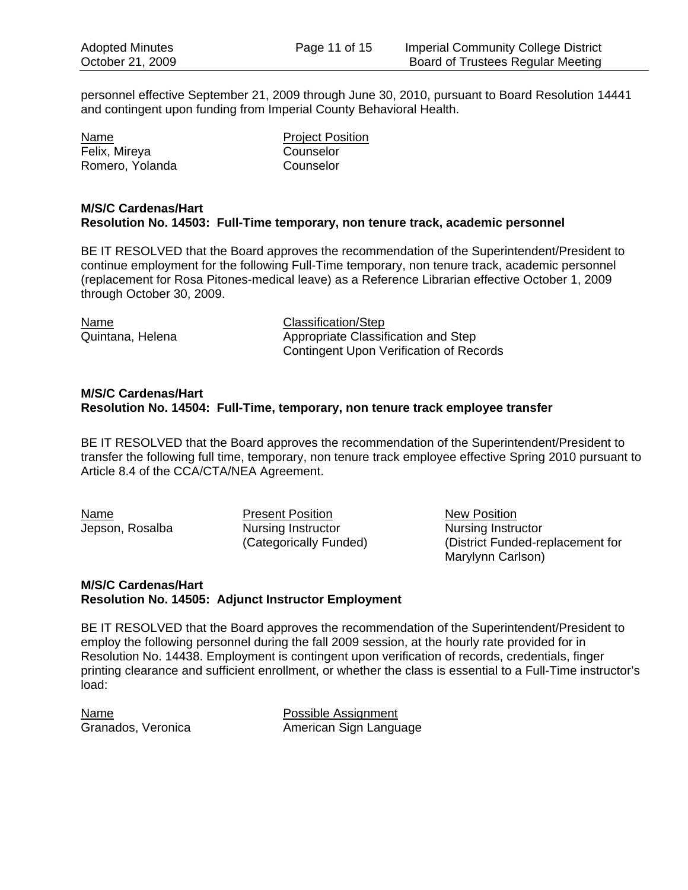personnel effective September 21, 2009 through June 30, 2010, pursuant to Board Resolution 14441 and contingent upon funding from Imperial County Behavioral Health.

Name Project Position Felix, Mireya Counselor Romero, Yolanda Counselor

#### **M/S/C Cardenas/Hart Resolution No. 14503: Full-Time temporary, non tenure track, academic personnel**

BE IT RESOLVED that the Board approves the recommendation of the Superintendent/President to continue employment for the following Full-Time temporary, non tenure track, academic personnel (replacement for Rosa Pitones-medical leave) as a Reference Librarian effective October 1, 2009 through October 30, 2009.

| Name             | Classification/Step                     |
|------------------|-----------------------------------------|
| Quintana, Helena | Appropriate Classification and Step     |
|                  | Contingent Upon Verification of Records |

#### **M/S/C Cardenas/Hart Resolution No. 14504: Full-Time, temporary, non tenure track employee transfer**

BE IT RESOLVED that the Board approves the recommendation of the Superintendent/President to transfer the following full time, temporary, non tenure track employee effective Spring 2010 pursuant to Article 8.4 of the CCA/CTA/NEA Agreement.

Name **Present Position New Position** Jepson, Rosalba Nursing Instructor Nursing Instructor

 (Categorically Funded) (District Funded-replacement for Marylynn Carlson)

#### **M/S/C Cardenas/Hart Resolution No. 14505: Adjunct Instructor Employment**

BE IT RESOLVED that the Board approves the recommendation of the Superintendent/President to employ the following personnel during the fall 2009 session, at the hourly rate provided for in Resolution No. 14438. Employment is contingent upon verification of records, credentials, finger printing clearance and sufficient enrollment, or whether the class is essential to a Full-Time instructor's load:

NamePossible Assignment Granados, Veronica **American Sign Language**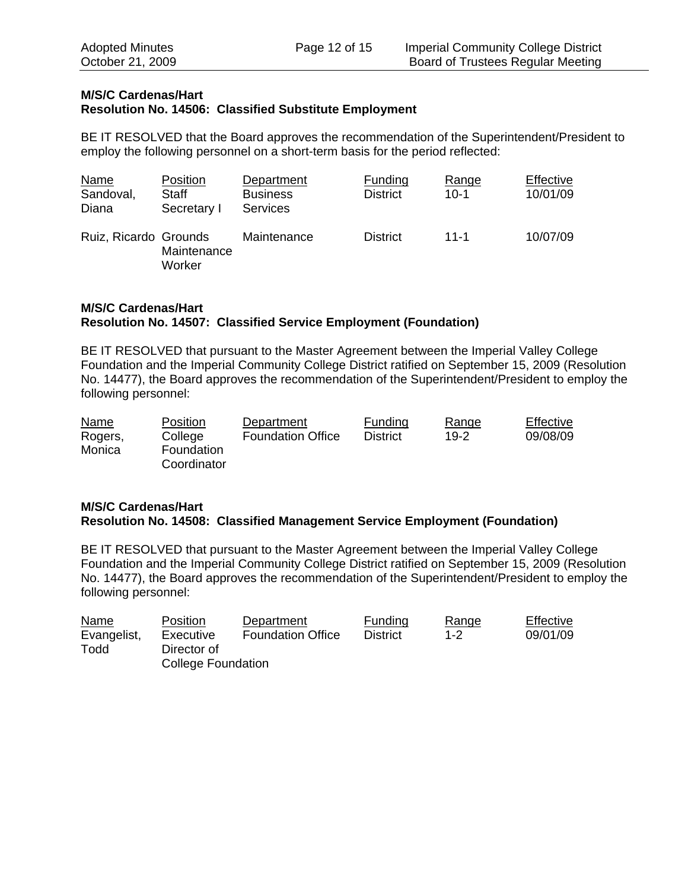#### **M/S/C Cardenas/Hart Resolution No. 14506: Classified Substitute Employment**

BE IT RESOLVED that the Board approves the recommendation of the Superintendent/President to employ the following personnel on a short-term basis for the period reflected:

| <b>Name</b><br>Sandoval,<br>Diana | Position<br>Staff<br>Secretary I | Department<br><b>Business</b><br><b>Services</b> | <b>Funding</b><br><b>District</b> | Range<br>$10-1$ | Effective<br>10/01/09 |
|-----------------------------------|----------------------------------|--------------------------------------------------|-----------------------------------|-----------------|-----------------------|
| Ruiz, Ricardo Grounds             | Maintenance<br>Worker            | Maintenance                                      | <b>District</b>                   | $11 - 1$        | 10/07/09              |

## **M/S/C Cardenas/Hart Resolution No. 14507: Classified Service Employment (Foundation)**

BE IT RESOLVED that pursuant to the Master Agreement between the Imperial Valley College Foundation and the Imperial Community College District ratified on September 15, 2009 (Resolution No. 14477), the Board approves the recommendation of the Superintendent/President to employ the following personnel:

| <b>Name</b> | <b>Position</b>   | Department               | Funding  | Range | Effective |
|-------------|-------------------|--------------------------|----------|-------|-----------|
| Rogers,     | College           | <b>Foundation Office</b> | District | 19-2  | 09/08/09  |
| Monica      | <b>Foundation</b> |                          |          |       |           |
|             | Coordinator       |                          |          |       |           |

## **M/S/C Cardenas/Hart Resolution No. 14508: Classified Management Service Employment (Foundation)**

BE IT RESOLVED that pursuant to the Master Agreement between the Imperial Valley College Foundation and the Imperial Community College District ratified on September 15, 2009 (Resolution No. 14477), the Board approves the recommendation of the Superintendent/President to employ the following personnel:

| <b>Name</b> | <b>Position</b>           | Department               | Funding         | Range   | Effective |
|-------------|---------------------------|--------------------------|-----------------|---------|-----------|
| Evangelist, | Executive                 | <b>Foundation Office</b> | <b>District</b> | $1 - 2$ | 09/01/09  |
| Todd        | Director of               |                          |                 |         |           |
|             | <b>College Foundation</b> |                          |                 |         |           |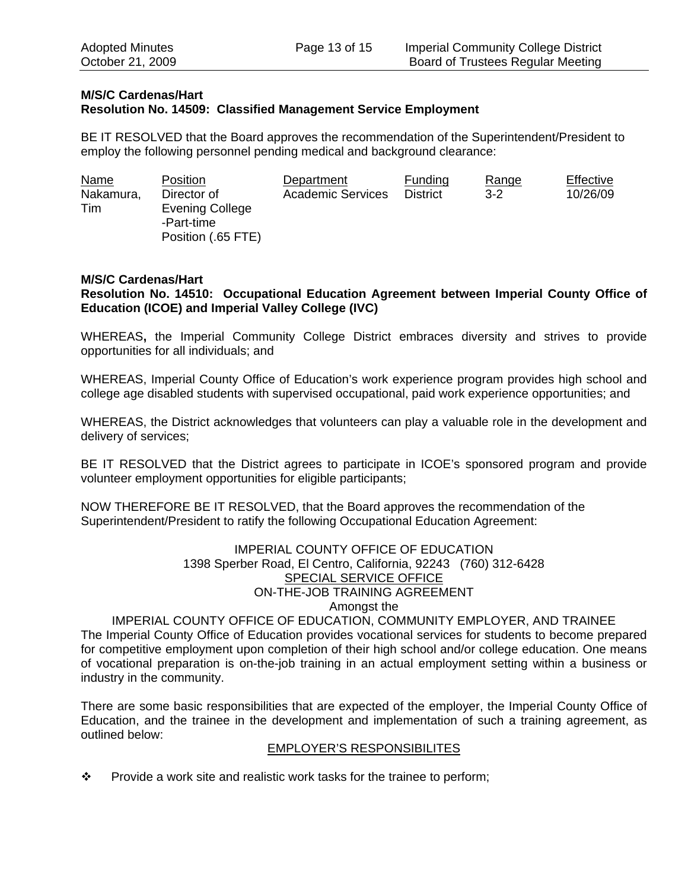## **M/S/C Cardenas/Hart Resolution No. 14509: Classified Management Service Employment**

BE IT RESOLVED that the Board approves the recommendation of the Superintendent/President to employ the following personnel pending medical and background clearance:

| <b>Name</b> | <b>Position</b>    | Department               | Funding         | Range   | Effective |
|-------------|--------------------|--------------------------|-----------------|---------|-----------|
| Nakamura,   | Director of        | <b>Academic Services</b> | <b>District</b> | $3 - 2$ | 10/26/09  |
| Tim         | Evening College    |                          |                 |         |           |
|             | -Part-time         |                          |                 |         |           |
|             | Position (.65 FTE) |                          |                 |         |           |

#### **M/S/C Cardenas/Hart**

**Resolution No. 14510: Occupational Education Agreement between Imperial County Office of Education (ICOE) and Imperial Valley College (IVC)**

WHEREAS**,** the Imperial Community College District embraces diversity and strives to provide opportunities for all individuals; and

WHEREAS, Imperial County Office of Education's work experience program provides high school and college age disabled students with supervised occupational, paid work experience opportunities; and

WHEREAS, the District acknowledges that volunteers can play a valuable role in the development and delivery of services;

BE IT RESOLVED that the District agrees to participate in ICOE's sponsored program and provide volunteer employment opportunities for eligible participants;

NOW THEREFORE BE IT RESOLVED, that the Board approves the recommendation of the Superintendent/President to ratify the following Occupational Education Agreement:

## IMPERIAL COUNTY OFFICE OF EDUCATION 1398 Sperber Road, El Centro, California, 92243 (760) 312-6428 SPECIAL SERVICE OFFICE ON-THE-JOB TRAINING AGREEMENT Amongst the

IMPERIAL COUNTY OFFICE OF EDUCATION, COMMUNITY EMPLOYER, AND TRAINEE The Imperial County Office of Education provides vocational services for students to become prepared for competitive employment upon completion of their high school and/or college education. One means of vocational preparation is on-the-job training in an actual employment setting within a business or industry in the community.

There are some basic responsibilities that are expected of the employer, the Imperial County Office of Education, and the trainee in the development and implementation of such a training agreement, as outlined below:

#### EMPLOYER'S RESPONSIBILITES

 $\mathbf{\hat{P}}$  Provide a work site and realistic work tasks for the trainee to perform;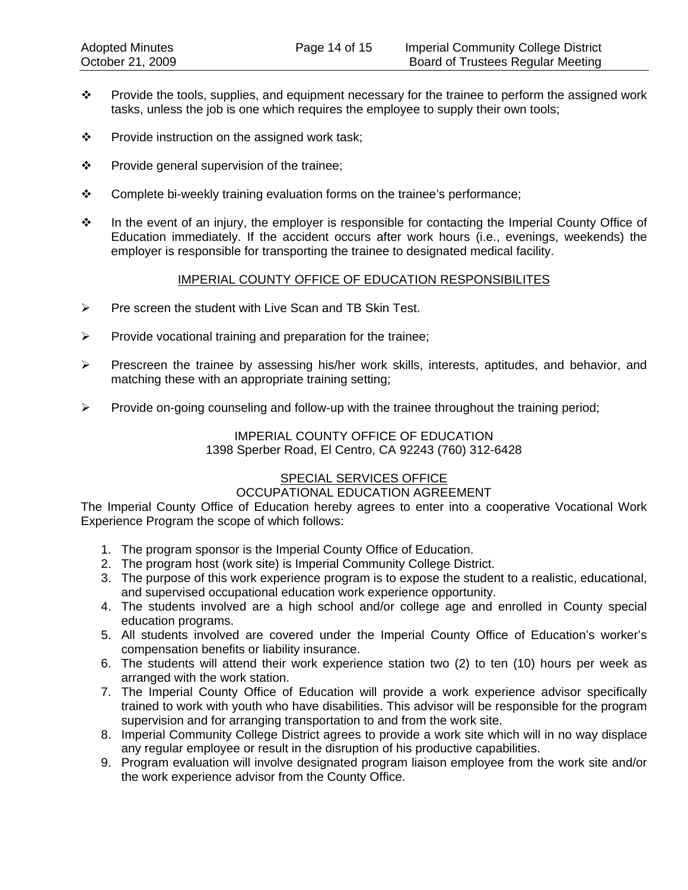- $\cdot \cdot$  Provide the tools, supplies, and equipment necessary for the trainee to perform the assigned work tasks, unless the job is one which requires the employee to supply their own tools;
- $\mathbf{\hat{P}}$  Provide instruction on the assigned work task;
- $\mathbf{\hat{P}}$  Provide general supervision of the trainee;
- Complete bi-weekly training evaluation forms on the trainee's performance;
- \* In the event of an injury, the employer is responsible for contacting the Imperial County Office of Education immediately. If the accident occurs after work hours (i.e., evenings, weekends) the employer is responsible for transporting the trainee to designated medical facility.

#### IMPERIAL COUNTY OFFICE OF EDUCATION RESPONSIBILITES

- $\triangleright$  Pre screen the student with Live Scan and TB Skin Test.
- $\triangleright$  Provide vocational training and preparation for the trainee;
- ¾ Prescreen the trainee by assessing his/her work skills, interests, aptitudes, and behavior, and matching these with an appropriate training setting;
- ¾ Provide on-going counseling and follow-up with the trainee throughout the training period;

#### IMPERIAL COUNTY OFFICE OF EDUCATION 1398 Sperber Road, El Centro, CA 92243 (760) 312-6428

# SPECIAL SERVICES OFFICE

## OCCUPATIONAL EDUCATION AGREEMENT

The Imperial County Office of Education hereby agrees to enter into a cooperative Vocational Work Experience Program the scope of which follows:

- 1. The program sponsor is the Imperial County Office of Education.
- 2. The program host (work site) is Imperial Community College District.
- 3. The purpose of this work experience program is to expose the student to a realistic, educational, and supervised occupational education work experience opportunity.
- 4. The students involved are a high school and/or college age and enrolled in County special education programs.
- 5. All students involved are covered under the Imperial County Office of Education's worker's compensation benefits or liability insurance.
- 6. The students will attend their work experience station two (2) to ten (10) hours per week as arranged with the work station.
- 7. The Imperial County Office of Education will provide a work experience advisor specifically trained to work with youth who have disabilities. This advisor will be responsible for the program supervision and for arranging transportation to and from the work site.
- 8. Imperial Community College District agrees to provide a work site which will in no way displace any regular employee or result in the disruption of his productive capabilities.
- 9. Program evaluation will involve designated program liaison employee from the work site and/or the work experience advisor from the County Office.